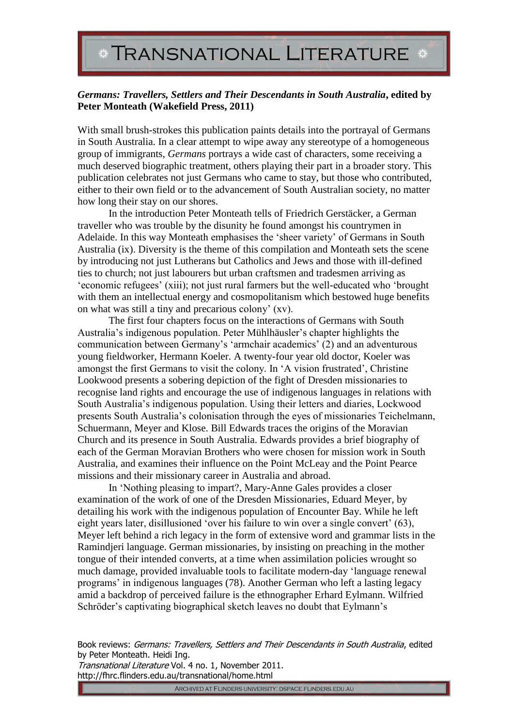## **TRANSNATIONAL LITERATURE**

## *Germans: Travellers, Settlers and Their Descendants in South Australia***, edited by Peter Monteath (Wakefield Press, 2011)**

With small brush-strokes this publication paints details into the portrayal of Germans in South Australia. In a clear attempt to wipe away any stereotype of a homogeneous group of immigrants, *Germans* portrays a wide cast of characters, some receiving a much deserved biographic treatment, others playing their part in a broader story. This publication celebrates not just Germans who came to stay, but those who contributed, either to their own field or to the advancement of South Australian society, no matter how long their stay on our shores.

In the introduction Peter Monteath tells of Friedrich Gerstäcker, a German traveller who was trouble by the disunity he found amongst his countrymen in Adelaide. In this way Monteath emphasises the 'sheer variety' of Germans in South Australia (ix). Diversity is the theme of this compilation and Monteath sets the scene by introducing not just Lutherans but Catholics and Jews and those with ill-defined ties to church; not just labourers but urban craftsmen and tradesmen arriving as 'economic refugees' (xiii); not just rural farmers but the well-educated who 'brought with them an intellectual energy and cosmopolitanism which bestowed huge benefits on what was still a tiny and precarious colony' (xv).

The first four chapters focus on the interactions of Germans with South Australia's indigenous population. Peter Mühlhäusler's chapter highlights the communication between Germany's 'armchair academics' (2) and an adventurous young fieldworker, Hermann Koeler. A twenty-four year old doctor, Koeler was amongst the first Germans to visit the colony. In 'A vision frustrated', Christine Lookwood presents a sobering depiction of the fight of Dresden missionaries to recognise land rights and encourage the use of indigenous languages in relations with South Australia's indigenous population. Using their letters and diaries, Lockwood presents South Australia's colonisation through the eyes of missionaries Teichelmann, Schuermann, Meyer and Klose. Bill Edwards traces the origins of the Moravian Church and its presence in South Australia. Edwards provides a brief biography of each of the German Moravian Brothers who were chosen for mission work in South Australia, and examines their influence on the Point McLeay and the Point Pearce missions and their missionary career in Australia and abroad.

In 'Nothing pleasing to impart?, Mary-Anne Gales provides a closer examination of the work of one of the Dresden Missionaries, Eduard Meyer, by detailing his work with the indigenous population of Encounter Bay. While he left eight years later, disillusioned 'over his failure to win over a single convert' (63), Meyer left behind a rich legacy in the form of extensive word and grammar lists in the Ramindjeri language. German missionaries, by insisting on preaching in the mother tongue of their intended converts, at a time when assimilation policies wrought so much damage, provided invaluable tools to facilitate modern-day 'language renewal programs' in indigenous languages (78). Another German who left a lasting legacy amid a backdrop of perceived failure is the ethnographer Erhard Eylmann. Wilfried Schröder's captivating biographical sketch leaves no doubt that Eylmann's

Book reviews: Germans: Travellers, Settlers and Their Descendants in South Australia, edited by Peter Monteath. Heidi Ing.

Transnational Literature Vol. 4 no. 1, November 2011. http://fhrc.flinders.edu.au/transnational/home.html

ARCHIVED AT FLINDERS UNIVERSITY: DSPACE.FLINDERS.EDU.AU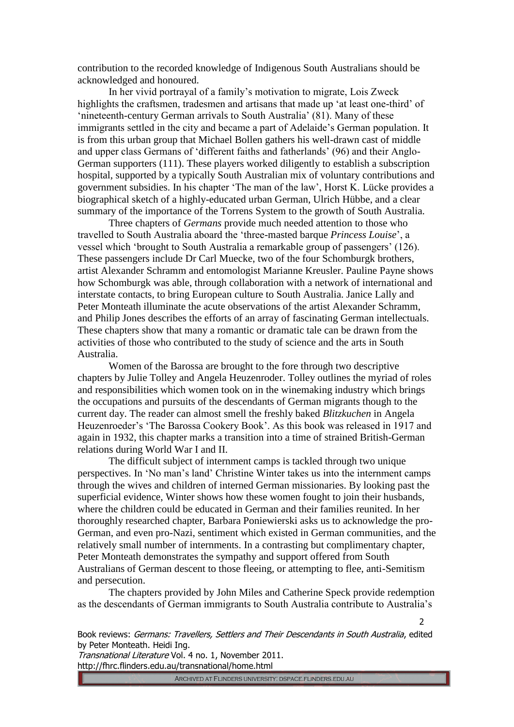contribution to the recorded knowledge of Indigenous South Australians should be acknowledged and honoured.

In her vivid portrayal of a family's motivation to migrate, Lois Zweck highlights the craftsmen, tradesmen and artisans that made up 'at least one-third' of 'nineteenth-century German arrivals to South Australia' (81). Many of these immigrants settled in the city and became a part of Adelaide's German population. It is from this urban group that Michael Bollen gathers his well-drawn cast of middle and upper class Germans of 'different faiths and fatherlands' (96) and their Anglo-German supporters (111). These players worked diligently to establish a subscription hospital, supported by a typically South Australian mix of voluntary contributions and government subsidies. In his chapter 'The man of the law', Horst K. Lücke provides a biographical sketch of a highly-educated urban German, Ulrich Hübbe, and a clear summary of the importance of the Torrens System to the growth of South Australia.

Three chapters of *Germans* provide much needed attention to those who travelled to South Australia aboard the 'three-masted barque *Princess Louise*', a vessel which 'brought to South Australia a remarkable group of passengers' (126). These passengers include Dr Carl Muecke, two of the four Schomburgk brothers, artist Alexander Schramm and entomologist Marianne Kreusler. Pauline Payne shows how Schomburgk was able, through collaboration with a network of international and interstate contacts, to bring European culture to South Australia. Janice Lally and Peter Monteath illuminate the acute observations of the artist Alexander Schramm, and Philip Jones describes the efforts of an array of fascinating German intellectuals. These chapters show that many a romantic or dramatic tale can be drawn from the activities of those who contributed to the study of science and the arts in South Australia.

Women of the Barossa are brought to the fore through two descriptive chapters by Julie Tolley and Angela Heuzenroder. Tolley outlines the myriad of roles and responsibilities which women took on in the winemaking industry which brings the occupations and pursuits of the descendants of German migrants though to the current day. The reader can almost smell the freshly baked *Blitzkuchen* in Angela Heuzenroeder's 'The Barossa Cookery Book'. As this book was released in 1917 and again in 1932, this chapter marks a transition into a time of strained British-German relations during World War I and II.

The difficult subject of internment camps is tackled through two unique perspectives. In 'No man's land' Christine Winter takes us into the internment camps through the wives and children of interned German missionaries. By looking past the superficial evidence, Winter shows how these women fought to join their husbands, where the children could be educated in German and their families reunited. In her thoroughly researched chapter, Barbara Poniewierski asks us to acknowledge the pro-German, and even pro-Nazi, sentiment which existed in German communities, and the relatively small number of internments. In a contrasting but complimentary chapter, Peter Monteath demonstrates the sympathy and support offered from South Australians of German descent to those fleeing, or attempting to flee, anti-Semitism and persecution.

The chapters provided by John Miles and Catherine Speck provide redemption as the descendants of German immigrants to South Australia contribute to Australia's

Book reviews: Germans: Travellers, Settlers and Their Descendants in South Australia, edited by Peter Monteath. Heidi Ing.

Transnational Literature Vol. 4 no. 1, November 2011. http://fhrc.flinders.edu.au/transnational/home.html

ARCHIVED AT FLINDERS UNIVERSITY: DSPACE.FLINDERS.EDU.AU

 $\overline{2}$